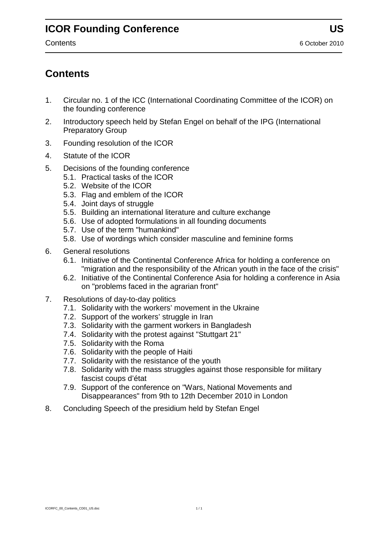### **Contents**

- 1. Circular no. 1 of the ICC (International Coordinating Committee of the ICOR) on the founding conference
- 2. Introductory speech held by Stefan Engel on behalf of the IPG (International Preparatory Group
- 3. Founding resolution of the ICOR
- 4. Statute of the ICOR
- 5. Decisions of the founding conference
	- 5.1. Practical tasks of the ICOR
	- 5.2. Website of the ICOR
	- 5.3. Flag and emblem of the ICOR
	- 5.4. Joint days of struggle
	- 5.5. Building an international literature and culture exchange
	- 5.6. Use of adopted formulations in all founding documents
	- 5.7. Use of the term "humankind"
	- 5.8. Use of wordings which consider masculine and feminine forms
- 6. General resolutions
	- 6.1. Initiative of the Continental Conference Africa for holding a conference on "migration and the responsibility of the African youth in the face of the crisis"
	- 6.2. Initiative of the Continental Conference Asia for holding a conference in Asia on "problems faced in the agrarian front"
- 7. Resolutions of day-to-day politics
	- 7.1. Solidarity with the workers' movement in the Ukraine
	- 7.2. Support of the workers' struggle in Iran
	- 7.3. Solidarity with the garment workers in Bangladesh
	- 7.4. Solidarity with the protest against "Stuttgart 21"
	- 7.5. Solidarity with the Roma
	- 7.6. Solidarity with the people of Haiti
	- 7.7. Solidarity with the resistance of the youth
	- 7.8. Solidarity with the mass struggles against those responsible for military fascist coups d'état
	- 7.9. Support of the conference on "Wars, National Movements and Disappearances" from 9th to 12th December 2010 in London
- 8. Concluding Speech of the presidium held by Stefan Engel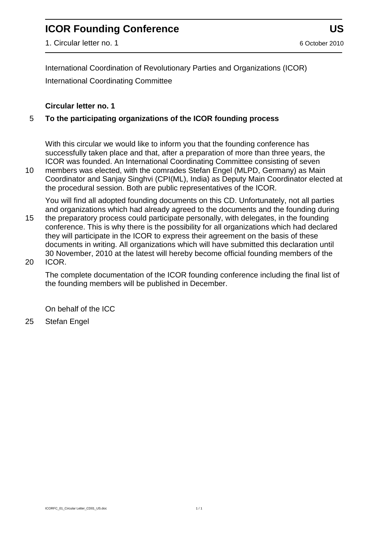1. Circular letter no. 1 6 October 2010

International Coordination of Revolutionary Parties and Organizations (ICOR) International Coordinating Committee

#### **Circular letter no. 1**

#### 5 **To the participating organizations of the ICOR founding process**

With this circular we would like to inform you that the founding conference has successfully taken place and that, after a preparation of more than three years, the ICOR was founded. An International Coordinating Committee consisting of seven

10 members was elected, with the comrades Stefan Engel (MLPD, Germany) as Main Coordinator and Sanjay Singhvi (CPI(ML), India) as Deputy Main Coordinator elected at the procedural session. Both are public representatives of the ICOR.

You will find all adopted founding documents on this CD. Unfortunately, not all parties and organizations which had already agreed to the documents and the founding during

- 15 the preparatory process could participate personally, with delegates, in the founding conference. This is why there is the possibility for all organizations which had declared they will participate in the ICOR to express their agreement on the basis of these documents in writing. All organizations which will have submitted this declaration until 30 November, 2010 at the latest will hereby become official founding members of the 20 ICOR.
	- The complete documentation of the ICOR founding conference including the final list of the founding members will be published in December.

On behalf of the ICC

25 Stefan Engel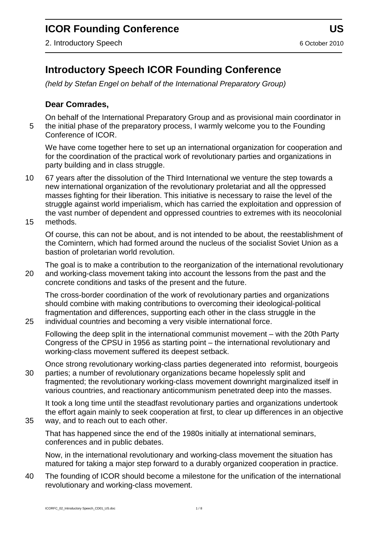# **Introductory Speech ICOR Founding Conference**

*(held by Stefan Engel on behalf of the International Preparatory Group)*

#### **Dear Comrades,**

On behalf of the International Preparatory Group and as provisional main coordinator in 5 the initial phase of the preparatory process, I warmly welcome you to the Founding Conference of ICOR.

We have come together here to set up an international organization for cooperation and for the coordination of the practical work of revolutionary parties and organizations in party building and in class struggle.

- 10 67 years after the dissolution of the Third International we venture the step towards a new international organization of the revolutionary proletariat and all the oppressed masses fighting for their liberation. This initiative is necessary to raise the level of the struggle against world imperialism, which has carried the exploitation and oppression of the vast number of dependent and oppressed countries to extremes with its neocolonial
- 15 methods.

Of course, this can not be about, and is not intended to be about, the reestablishment of the Comintern, which had formed around the nucleus of the socialist Soviet Union as a bastion of proletarian world revolution.

The goal is to make a contribution to the reorganization of the international revolutionary 20 and working-class movement taking into account the lessons from the past and the concrete conditions and tasks of the present and the future.

The cross-border coordination of the work of revolutionary parties and organizations should combine with making contributions to overcoming their ideological-political fragmentation and differences, supporting each other in the class struggle in the 25 individual countries and becoming a very visible international force.

Following the deep split in the international communist movement – with the 20th Party Congress of the CPSU in 1956 as starting point – the international revolutionary and working-class movement suffered its deepest setback.

Once strong revolutionary working-class parties degenerated into reformist, bourgeois

30 parties; a number of revolutionary organizations became hopelessly split and fragmented; the revolutionary working-class movement downright marginalized itself in various countries, and reactionary anticommunism penetrated deep into the masses.

It took a long time until the steadfast revolutionary parties and organizations undertook the effort again mainly to seek cooperation at first, to clear up differences in an objective

35 way, and to reach out to each other.

That has happened since the end of the 1980s initially at international seminars, conferences and in public debates.

Now, in the international revolutionary and working-class movement the situation has matured for taking a major step forward to a durably organized cooperation in practice.

40 The founding of ICOR should become a milestone for the unification of the international revolutionary and working-class movement.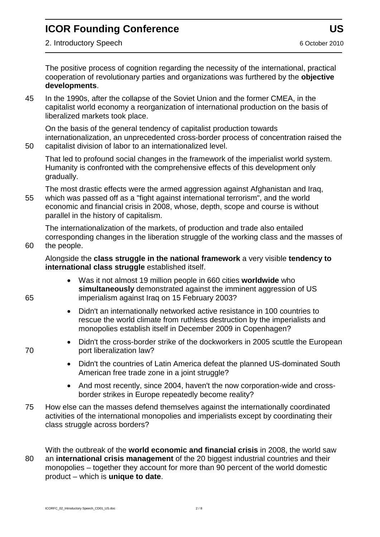2. Introductory Speech 6 October 2010

The positive process of cognition regarding the necessity of the international, practical cooperation of revolutionary parties and organizations was furthered by the **objective developments**.

45 In the 1990s, after the collapse of the Soviet Union and the former CMEA, in the capitalist world economy a reorganization of international production on the basis of liberalized markets took place.

On the basis of the general tendency of capitalist production towards internationalization, an unprecedented cross-border process of concentration raised the 50 capitalist division of labor to an internationalized level.

That led to profound social changes in the framework of the imperialist world system. Humanity is confronted with the comprehensive effects of this development only gradually.

The most drastic effects were the armed aggression against Afghanistan and Iraq, 55 which was passed off as a "fight against international terrorism", and the world economic and financial crisis in 2008, whose, depth, scope and course is without parallel in the history of capitalism.

The internationalization of the markets, of production and trade also entailed corresponding changes in the liberation struggle of the working class and the masses of 60 the people.

#### Alongside the **class struggle in the national framework** a very visible **tendency to international class struggle** established itself.

- Was it not almost 19 million people in 660 cities **worldwide** who **simultaneously** demonstrated against the imminent aggression of US 65 imperialism against Iraq on 15 February 2003?
	- Didn't an internationally networked active resistance in 100 countries to rescue the world climate from ruthless destruction by the imperialists and monopolies establish itself in December 2009 in Copenhagen?
- Didn't the cross-border strike of the dockworkers in 2005 scuttle the European 70 port liberalization law?
	- Didn't the countries of Latin America defeat the planned US-dominated South American free trade zone in a joint struggle?
	- And most recently, since 2004, haven't the now corporation-wide and crossborder strikes in Europe repeatedly become reality?
- 75 How else can the masses defend themselves against the internationally coordinated activities of the international monopolies and imperialists except by coordinating their class struggle across borders?

With the outbreak of the **world economic and financial crisis** in 2008, the world saw 80 an **international crisis management** of the 20 biggest industrial countries and their monopolies – together they account for more than 90 percent of the world domestic product – which is **unique to date**.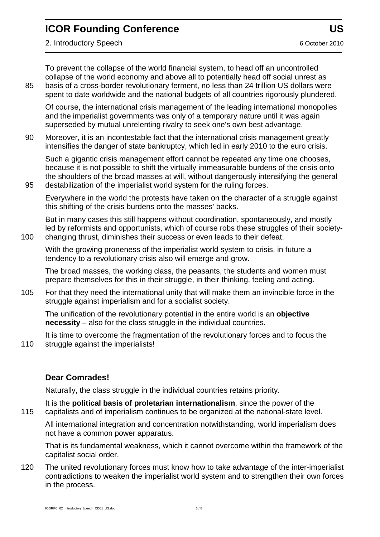2. Introductory Speech 6 October 2010

To prevent the collapse of the world financial system, to head off an uncontrolled collapse of the world economy and above all to potentially head off social unrest as 85 basis of a cross-border revolutionary ferment, no less than 24 trillion US dollars were spent to date worldwide and the national budgets of all countries rigorously plundered.

Of course, the international crisis management of the leading international monopolies and the imperialist governments was only of a temporary nature until it was again superseded by mutual unrelenting rivalry to seek one's own best advantage.

90 Moreover, it is an incontestable fact that the international crisis management greatly intensifies the danger of state bankruptcy, which led in early 2010 to the euro crisis.

Such a gigantic crisis management effort cannot be repeated any time one chooses, because it is not possible to shift the virtually immeasurable burdens of the crisis onto the shoulders of the broad masses at will, without dangerously intensifying the general 95 destabilization of the imperialist world system for the ruling forces.

Everywhere in the world the protests have taken on the character of a struggle against this shifting of the crisis burdens onto the masses' backs.

But in many cases this still happens without coordination, spontaneously, and mostly led by reformists and opportunists, which of course robs these struggles of their society-100 changing thrust, diminishes their success or even leads to their defeat.

With the growing proneness of the imperialist world system to crisis, in future a tendency to a revolutionary crisis also will emerge and grow.

The broad masses, the working class, the peasants, the students and women must prepare themselves for this in their struggle, in their thinking, feeling and acting.

105 For that they need the international unity that will make them an invincible force in the struggle against imperialism and for a socialist society.

The unification of the revolutionary potential in the entire world is an **objective necessity** – also for the class struggle in the individual countries.

It is time to overcome the fragmentation of the revolutionary forces and to focus the 110 struggle against the imperialists!

#### **Dear Comrades!**

Naturally, the class struggle in the individual countries retains priority.

It is the **political basis of proletarian internationalism**, since the power of the 115 capitalists and of imperialism continues to be organized at the national-state level.

All international integration and concentration notwithstanding, world imperialism does not have a common power apparatus.

That is its fundamental weakness, which it cannot overcome within the framework of the capitalist social order.

120 The united revolutionary forces must know how to take advantage of the inter-imperialist contradictions to weaken the imperialist world system and to strengthen their own forces in the process.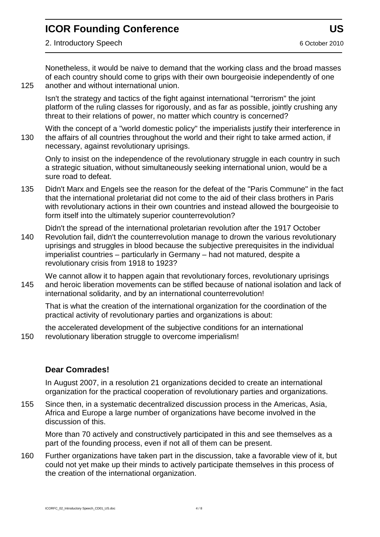Nonetheless, it would be naive to demand that the working class and the broad masses of each country should come to grips with their own bourgeoisie independently of one 125 another and without international union.

Isn't the strategy and tactics of the fight against international "terrorism" the joint platform of the ruling classes for rigorously, and as far as possible, jointly crushing any threat to their relations of power, no matter which country is concerned?

With the concept of a "world domestic policy" the imperialists justify their interference in 130 the affairs of all countries throughout the world and their right to take armed action, if necessary, against revolutionary uprisings.

Only to insist on the independence of the revolutionary struggle in each country in such a strategic situation, without simultaneously seeking international union, would be a sure road to defeat.

135 Didn't Marx and Engels see the reason for the defeat of the "Paris Commune" in the fact that the international proletariat did not come to the aid of their class brothers in Paris with revolutionary actions in their own countries and instead allowed the bourgeoisie to form itself into the ultimately superior counterrevolution?

Didn't the spread of the international proletarian revolution after the 1917 October 140 Revolution fail, didn't the counterrevolution manage to drown the various revolutionary uprisings and struggles in blood because the subjective prerequisites in the individual imperialist countries – particularly in Germany – had not matured, despite a revolutionary crisis from 1918 to 1923?

We cannot allow it to happen again that revolutionary forces, revolutionary uprisings 145 and heroic liberation movements can be stifled because of national isolation and lack of international solidarity, and by an international counterrevolution!

That is what the creation of the international organization for the coordination of the practical activity of revolutionary parties and organizations is about:

the accelerated development of the subjective conditions for an international 150 revolutionary liberation struggle to overcome imperialism!

#### **Dear Comrades!**

In August 2007, in a resolution 21 organizations decided to create an international organization for the practical cooperation of revolutionary parties and organizations.

155 Since then, in a systematic decentralized discussion process in the Americas, Asia, Africa and Europe a large number of organizations have become involved in the discussion of this.

More than 70 actively and constructively participated in this and see themselves as a part of the founding process, even if not all of them can be present.

160 Further organizations have taken part in the discussion, take a favorable view of it, but could not yet make up their minds to actively participate themselves in this process of the creation of the international organization.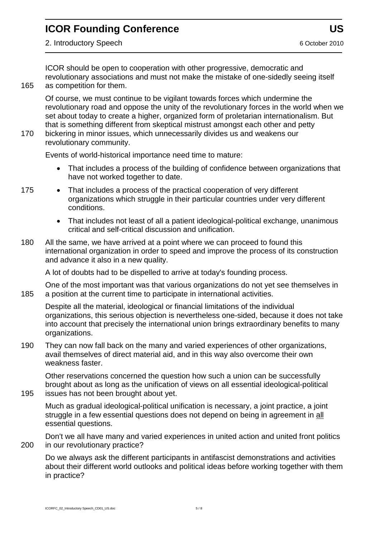ICOR should be open to cooperation with other progressive, democratic and revolutionary associations and must not make the mistake of one-sidedly seeing itself 165 as competition for them.

Of course, we must continue to be vigilant towards forces which undermine the revolutionary road and oppose the unity of the revolutionary forces in the world when we set about today to create a higher, organized form of proletarian internationalism. But that is something different from skeptical mistrust amongst each other and petty

170 bickering in minor issues, which unnecessarily divides us and weakens our revolutionary community.

Events of world-historical importance need time to mature:

- That includes a process of the building of confidence between organizations that have not worked together to date.
- 175 That includes a process of the practical cooperation of very different organizations which struggle in their particular countries under very different conditions.
	- That includes not least of all a patient ideological-political exchange, unanimous critical and self-critical discussion and unification.
- 180 All the same, we have arrived at a point where we can proceed to found this international organization in order to speed and improve the process of its construction and advance it also in a new quality.

A lot of doubts had to be dispelled to arrive at today's founding process.

One of the most important was that various organizations do not yet see themselves in 185 a position at the current time to participate in international activities.

Despite all the material, ideological or financial limitations of the individual organizations, this serious objection is nevertheless one-sided, because it does not take into account that precisely the international union brings extraordinary benefits to many organizations.

190 They can now fall back on the many and varied experiences of other organizations, avail themselves of direct material aid, and in this way also overcome their own weakness faster.

Other reservations concerned the question how such a union can be successfully brought about as long as the unification of views on all essential ideological-political 195 issues has not been brought about yet.

Much as gradual ideological-political unification is necessary, a joint practice, a joint struggle in a few essential questions does not depend on being in agreement in all essential questions.

Don't we all have many and varied experiences in united action and united front politics 200 in our revolutionary practice?

Do we always ask the different participants in antifascist demonstrations and activities about their different world outlooks and political ideas before working together with them in practice?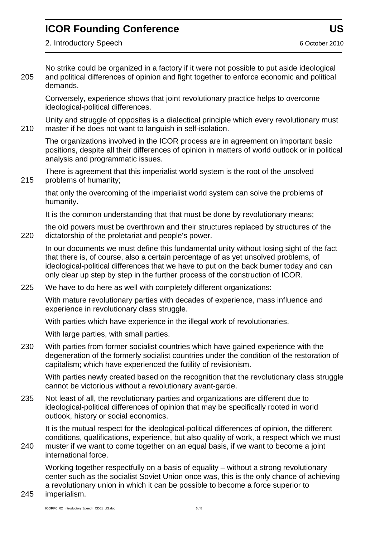No strike could be organized in a factory if it were not possible to put aside ideological 205 and political differences of opinion and fight together to enforce economic and political demands.

Conversely, experience shows that joint revolutionary practice helps to overcome ideological-political differences.

Unity and struggle of opposites is a dialectical principle which every revolutionary must 210 master if he does not want to languish in self-isolation.

The organizations involved in the ICOR process are in agreement on important basic positions, despite all their differences of opinion in matters of world outlook or in political analysis and programmatic issues.

There is agreement that this imperialist world system is the root of the unsolved 215 problems of humanity;

that only the overcoming of the imperialist world system can solve the problems of humanity.

It is the common understanding that that must be done by revolutionary means;

the old powers must be overthrown and their structures replaced by structures of the 220 dictatorship of the proletariat and people's power.

In our documents we must define this fundamental unity without losing sight of the fact that there is, of course, also a certain percentage of as yet unsolved problems, of ideological-political differences that we have to put on the back burner today and can only clear up step by step in the further process of the construction of ICOR.

225 We have to do here as well with completely different organizations:

With mature revolutionary parties with decades of experience, mass influence and experience in revolutionary class struggle.

With parties which have experience in the illegal work of revolutionaries.

With large parties, with small parties.

230 With parties from former socialist countries which have gained experience with the degeneration of the formerly socialist countries under the condition of the restoration of capitalism; which have experienced the futility of revisionism.

With parties newly created based on the recognition that the revolutionary class struggle cannot be victorious without a revolutionary avant-garde.

235 Not least of all, the revolutionary parties and organizations are different due to ideological-political differences of opinion that may be specifically rooted in world outlook, history or social economics.

It is the mutual respect for the ideological-political differences of opinion, the different conditions, qualifications, experience, but also quality of work, a respect which we must

240 muster if we want to come together on an equal basis, if we want to become a joint international force.

Working together respectfully on a basis of equality – without a strong revolutionary center such as the socialist Soviet Union once was, this is the only chance of achieving a revolutionary union in which it can be possible to become a force superior to

245 imperialism.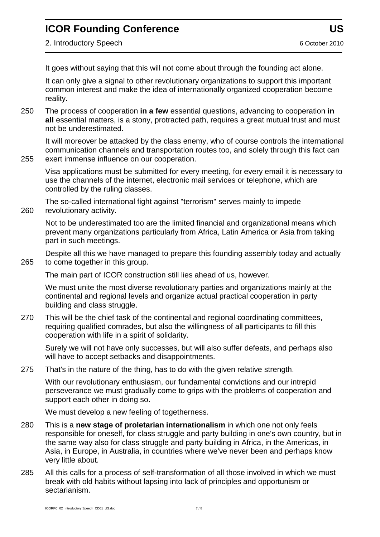2. Introductory Speech 6 October 2010

It goes without saying that this will not come about through the founding act alone.

It can only give a signal to other revolutionary organizations to support this important common interest and make the idea of internationally organized cooperation become reality.

250 The process of cooperation **in a few** essential questions, advancing to cooperation **in all** essential matters, is a stony, protracted path, requires a great mutual trust and must not be underestimated.

It will moreover be attacked by the class enemy, who of course controls the international communication channels and transportation routes too, and solely through this fact can 255 exert immense influence on our cooperation.

Visa applications must be submitted for every meeting, for every email it is necessary to use the channels of the internet, electronic mail services or telephone, which are controlled by the ruling classes.

The so-called international fight against "terrorism" serves mainly to impede 260 revolutionary activity.

Not to be underestimated too are the limited financial and organizational means which prevent many organizations particularly from Africa, Latin America or Asia from taking part in such meetings.

Despite all this we have managed to prepare this founding assembly today and actually 265 to come together in this group.

The main part of ICOR construction still lies ahead of us, however.

We must unite the most diverse revolutionary parties and organizations mainly at the continental and regional levels and organize actual practical cooperation in party building and class struggle.

270 This will be the chief task of the continental and regional coordinating committees, requiring qualified comrades, but also the willingness of all participants to fill this cooperation with life in a spirit of solidarity.

Surely we will not have only successes, but will also suffer defeats, and perhaps also will have to accept setbacks and disappointments.

275 That's in the nature of the thing, has to do with the given relative strength.

With our revolutionary enthusiasm, our fundamental convictions and our intrepid perseverance we must gradually come to grips with the problems of cooperation and support each other in doing so.

We must develop a new feeling of togetherness.

- 280 This is a **new stage of proletarian internationalism** in which one not only feels responsible for oneself, for class struggle and party building in one's own country, but in the same way also for class struggle and party building in Africa, in the Americas, in Asia, in Europe, in Australia, in countries where we've never been and perhaps know very little about.
- 285 All this calls for a process of self-transformation of all those involved in which we must break with old habits without lapsing into lack of principles and opportunism or sectarianism.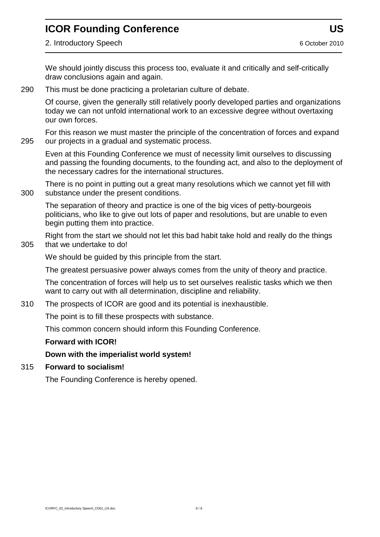2. Introductory Speech 6 October 2010

We should jointly discuss this process too, evaluate it and critically and self-critically draw conclusions again and again.

290 This must be done practicing a proletarian culture of debate.

Of course, given the generally still relatively poorly developed parties and organizations today we can not unfold international work to an excessive degree without overtaxing our own forces.

For this reason we must master the principle of the concentration of forces and expand 295 our projects in a gradual and systematic process.

Even at this Founding Conference we must of necessity limit ourselves to discussing and passing the founding documents, to the founding act, and also to the deployment of the necessary cadres for the international structures.

There is no point in putting out a great many resolutions which we cannot yet fill with 300 substance under the present conditions.

The separation of theory and practice is one of the big vices of petty-bourgeois politicians, who like to give out lots of paper and resolutions, but are unable to even begin putting them into practice.

Right from the start we should not let this bad habit take hold and really do the things 305 that we undertake to do!

We should be quided by this principle from the start.

The greatest persuasive power always comes from the unity of theory and practice.

The concentration of forces will help us to set ourselves realistic tasks which we then want to carry out with all determination, discipline and reliability.

310 The prospects of ICOR are good and its potential is inexhaustible.

The point is to fill these prospects with substance.

This common concern should inform this Founding Conference.

#### **Forward with ICOR!**

#### **Down with the imperialist world system!**

#### 315 **Forward to socialism!**

The Founding Conference is hereby opened.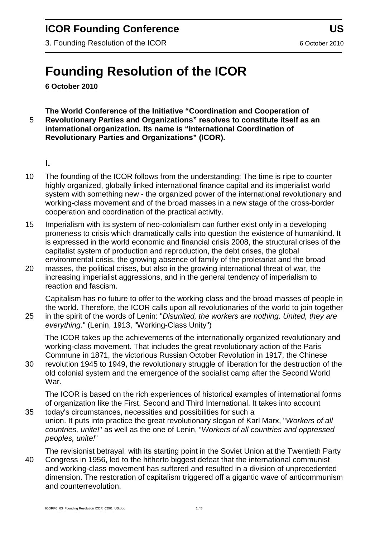3. Founding Resolution of the ICOR 6 October 2010

# **Founding Resolution of the ICOR**

**6 October 2010**

#### **The World Conference of the Initiative "Coordination and Cooperation of**  5 **Revolutionary Parties and Organizations" resolves to constitute itself as an international organization. Its name is "International Coordination of Revolutionary Parties and Organizations" (ICOR).**

#### **I.**

- 10 The founding of the ICOR follows from the understanding: The time is ripe to counter highly organized, globally linked international finance capital and its imperialist world system with something new - the organized power of the international revolutionary and working-class movement and of the broad masses in a new stage of the cross-border cooperation and coordination of the practical activity.
- 15 Imperialism with its system of neo-colonialism can further exist only in a developing proneness to crisis which dramatically calls into question the existence of humankind. It is expressed in the world economic and financial crisis 2008, the structural crises of the capitalist system of production and reproduction, the debt crises, the global environmental crisis, the growing absence of family of the proletariat and the broad
- 20 masses, the political crises, but also in the growing international threat of war, the increasing imperialist aggressions, and in the general tendency of imperialism to reaction and fascism.

Capitalism has no future to offer to the working class and the broad masses of people in the world. Therefore, the ICOR calls upon all revolutionaries of the world to join together 25 in the spirit of the words of Lenin: "*Disunited, the workers are nothing. United, they are everything.*" (Lenin, 1913, "Working-Class Unity")

The ICOR takes up the achievements of the internationally organized revolutionary and working-class movement. That includes the great revolutionary action of the Paris Commune in 1871, the victorious Russian October Revolution in 1917, the Chinese

30 revolution 1945 to 1949, the revolutionary struggle of liberation for the destruction of the old colonial system and the emergence of the socialist camp after the Second World War.

The ICOR is based on the rich experiences of historical examples of international forms of organization like the First, Second and Third International. It takes into account 35 today's circumstances, necessities and possibilities for such a

union. It puts into practice the great revolutionary slogan of Karl Marx, "*Workers of all countries, unite!*" as well as the one of Lenin, "*Workers of all countries and oppressed peoples, unite!*"

The revisionist betrayal, with its starting point in the Soviet Union at the Twentieth Party 40 Congress in 1956, led to the hitherto biggest defeat that the international communist and working-class movement has suffered and resulted in a division of unprecedented dimension. The restoration of capitalism triggered off a gigantic wave of anticommunism and counterrevolution.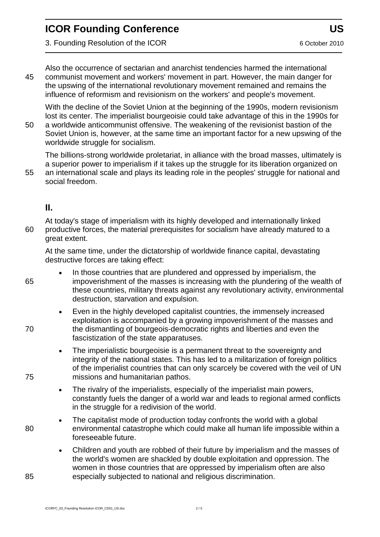3. Founding Resolution of the ICOR 6 October 2010

Also the occurrence of sectarian and anarchist tendencies harmed the international 45 communist movement and workers' movement in part. However, the main danger for the upswing of the international revolutionary movement remained and remains the influence of reformism and revisionism on the workers' and people's movement.

With the decline of the Soviet Union at the beginning of the 1990s, modern revisionism lost its center. The imperialist bourgeoisie could take advantage of this in the 1990s for

50 a worldwide anticommunist offensive. The weakening of the revisionist bastion of the Soviet Union is, however, at the same time an important factor for a new upswing of the worldwide struggle for socialism.

The billions-strong worldwide proletariat, in alliance with the broad masses, ultimately is a superior power to imperialism if it takes up the struggle for its liberation organized on 55 an international scale and plays its leading role in the peoples' struggle for national and

#### **II.**

social freedom.

At today's stage of imperialism with its highly developed and internationally linked 60 productive forces, the material prerequisites for socialism have already matured to a great extent.

At the same time, under the dictatorship of worldwide finance capital, devastating destructive forces are taking effect:

- In those countries that are plundered and oppressed by imperialism, the 65 impoverishment of the masses is increasing with the plundering of the wealth of these countries, military threats against any revolutionary activity, environmental destruction, starvation and expulsion.
- Even in the highly developed capitalist countries, the immensely increased exploitation is accompanied by a growing impoverishment of the masses and 70 the dismantling of bourgeois-democratic rights and liberties and even the fascistization of the state apparatuses.
- The imperialistic bourgeoisie is a permanent threat to the sovereignty and integrity of the national states. This has led to a militarization of foreign politics of the imperialist countries that can only scarcely be covered with the veil of UN 75 missions and humanitarian pathos.
	- The rivalry of the imperialists, especially of the imperialist main powers, constantly fuels the danger of a world war and leads to regional armed conflicts in the struggle for a redivision of the world.
- The capitalist mode of production today confronts the world with a global 80 environmental catastrophe which could make all human life impossible within a foreseeable future.
- Children and youth are robbed of their future by imperialism and the masses of the world's women are shackled by double exploitation and oppression. The women in those countries that are oppressed by imperialism often are also 85 especially subjected to national and religious discrimination.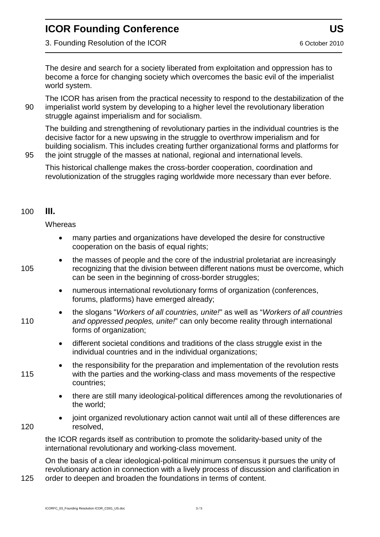3. Founding Resolution of the ICOR 6 October 2010

The desire and search for a society liberated from exploitation and oppression has to become a force for changing society which overcomes the basic evil of the imperialist world system.

The ICOR has arisen from the practical necessity to respond to the destabilization of the 90 imperialist world system by developing to a higher level the revolutionary liberation struggle against imperialism and for socialism.

The building and strengthening of revolutionary parties in the individual countries is the decisive factor for a new upswing in the struggle to overthrow imperialism and for building socialism. This includes creating further organizational forms and platforms for 95 the joint struggle of the masses at national, regional and international levels.

This historical challenge makes the cross-border cooperation, coordination and revolutionization of the struggles raging worldwide more necessary than ever before.

#### 100 **III.**

**Whereas** 

- many parties and organizations have developed the desire for constructive cooperation on the basis of equal rights;
- the masses of people and the core of the industrial proletariat are increasingly 105 recognizing that the division between different nations must be overcome, which can be seen in the beginning of cross-border struggles;
	- numerous international revolutionary forms of organization (conferences, forums, platforms) have emerged already;
- the slogans "*Workers of all countries, unite!*" as well as "*Workers of all countries*  110 *and oppressed peoples, unite!*" can only become reality through international forms of organization;
	- different societal conditions and traditions of the class struggle exist in the individual countries and in the individual organizations;
- the responsibility for the preparation and implementation of the revolution rests 115 with the parties and the working-class and mass movements of the respective countries;
	- there are still many ideological-political differences among the revolutionaries of the world;
- joint organized revolutionary action cannot wait until all of these differences are 120 resolved,

the ICOR regards itself as contribution to promote the solidarity-based unity of the international revolutionary and working-class movement.

On the basis of a clear ideological-political minimum consensus it pursues the unity of revolutionary action in connection with a lively process of discussion and clarification in

125 order to deepen and broaden the foundations in terms of content.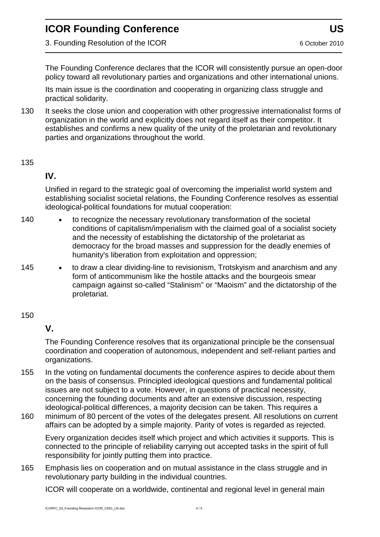3. Founding Resolution of the ICOR 6 October 2010

The Founding Conference declares that the ICOR will consistently pursue an open-door policy toward all revolutionary parties and organizations and other international unions.

Its main issue is the coordination and cooperating in organizing class struggle and practical solidarity.

130 It seeks the close union and cooperation with other progressive internationalist forms of organization in the world and explicitly does not regard itself as their competitor. It establishes and confirms a new quality of the unity of the proletarian and revolutionary parties and organizations throughout the world.

#### 135

#### **IV.**

Unified in regard to the strategic goal of overcoming the imperialist world system and establishing socialist societal relations, the Founding Conference resolves as essential ideological-political foundations for mutual cooperation:

- 140 to recognize the necessary revolutionary transformation of the societal conditions of capitalism/imperialism with the claimed goal of a socialist society and the necessity of establishing the dictatorship of the proletariat as democracy for the broad masses and suppression for the deadly enemies of humanity's liberation from exploitation and oppression;
- 145 to draw a clear dividing-line to revisionism, Trotskyism and anarchism and any form of anticommunism like the hostile attacks and the bourgeois smear campaign against so-called "Stalinism" or "Maoism" and the dictatorship of the proletariat.

#### 150

#### **V.**

The Founding Conference resolves that its organizational principle be the consensual coordination and cooperation of autonomous, independent and self-reliant parties and organizations.

- 155 In the voting on fundamental documents the conference aspires to decide about them on the basis of consensus. Principled ideological questions and fundamental political issues are not subject to a vote. However, in questions of practical necessity, concerning the founding documents and after an extensive discussion, respecting ideological-political differences, a majority decision can be taken. This requires a
- 160 minimum of 80 percent of the votes of the delegates present. All resolutions on current affairs can be adopted by a simple majority. Parity of votes is regarded as rejected.

Every organization decides itself which project and which activities it supports. This is connected to the principle of reliability carrying out accepted tasks in the spirit of full responsibility for jointly putting them into practice.

165 Emphasis lies on cooperation and on mutual assistance in the class struggle and in revolutionary party building in the individual countries.

ICOR will cooperate on a worldwide, continental and regional level in general main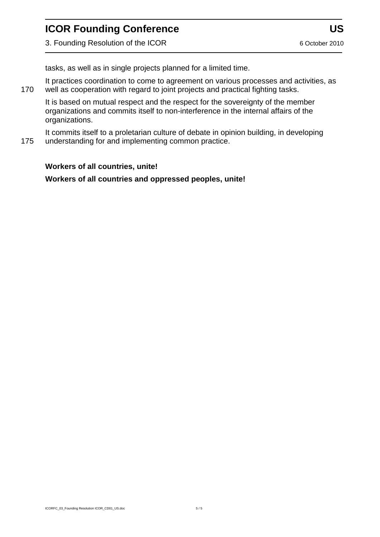3. Founding Resolution of the ICOR 6 October 2010

tasks, as well as in single projects planned for a limited time.

It practices coordination to come to agreement on various processes and activities, as 170 well as cooperation with regard to joint projects and practical fighting tasks.

It is based on mutual respect and the respect for the sovereignty of the member organizations and commits itself to non-interference in the internal affairs of the organizations.

It commits itself to a proletarian culture of debate in opinion building, in developing 175 understanding for and implementing common practice.

#### **Workers of all countries, unite!**

**Workers of all countries and oppressed peoples, unite!**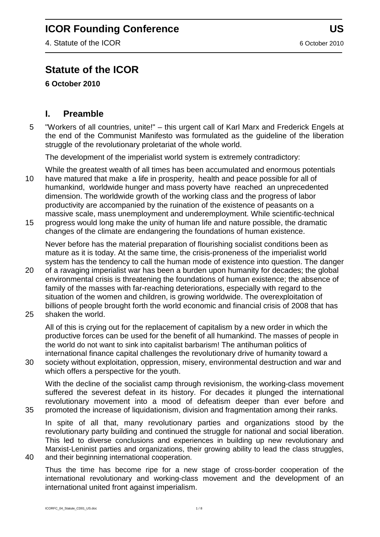4. Statute of the ICOR 6 October 2010

# **Statute of the ICOR**

**6 October 2010** 

#### **I. Preamble**

5 "Workers of all countries, unite!" – this urgent call of Karl Marx and Frederick Engels at the end of the Communist Manifesto was formulated as the guideline of the liberation struggle of the revolutionary proletariat of the whole world.

The development of the imperialist world system is extremely contradictory:

- While the greatest wealth of all times has been accumulated and enormous potentials 10 have matured that make a life in prosperity, health and peace possible for all of humankind, worldwide hunger and mass poverty have reached an unprecedented dimension. The worldwide growth of the working class and the progress of labor productivity are accompanied by the ruination of the existence of peasants on a massive scale, mass unemployment and underemployment. While scientific-technical
- 15 progress would long make the unity of human life and nature possible, the dramatic changes of the climate are endangering the foundations of human existence.

Never before has the material preparation of flourishing socialist conditions been as mature as it is today. At the same time, the crisis-proneness of the imperialist world system has the tendency to call the human mode of existence into question. The danger

- 20 of a ravaging imperialist war has been a burden upon humanity for decades; the global environmental crisis is threatening the foundations of human existence; the absence of family of the masses with far-reaching deteriorations, especially with regard to the situation of the women and children, is growing worldwide. The overexploitation of billions of people brought forth the world economic and financial crisis of 2008 that has
- 25 shaken the world.

All of this is crying out for the replacement of capitalism by a new order in which the productive forces can be used for the benefit of all humankind. The masses of people in the world do not want to sink into capitalist barbarism! The antihuman politics of international finance capital challenges the revolutionary drive of humanity toward a

30 society without exploitation, oppression, misery, environmental destruction and war and which offers a perspective for the youth.

With the decline of the socialist camp through revisionism, the working-class movement suffered the severest defeat in its history. For decades it plunged the international revolutionary movement into a mood of defeatism deeper than ever before and 35 promoted the increase of liquidationism, division and fragmentation among their ranks.

In spite of all that, many revolutionary parties and organizations stood by the revolutionary party building and continued the struggle for national and social liberation. This led to diverse conclusions and experiences in building up new revolutionary and Marxist-Leninist parties and organizations, their growing ability to lead the class struggles,

40 and their beginning international cooperation.

Thus the time has become ripe for a new stage of cross-border cooperation of the international revolutionary and working-class movement and the development of an international united front against imperialism.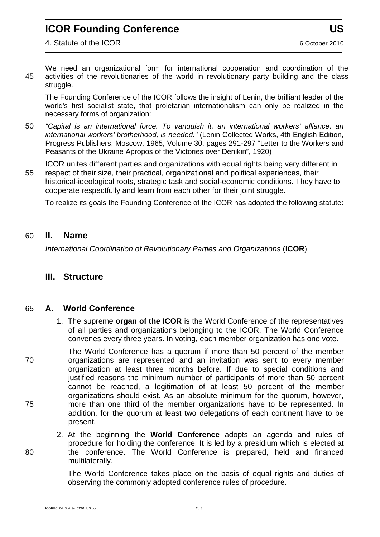We need an organizational form for international cooperation and coordination of the 45 activities of the revolutionaries of the world in revolutionary party building and the class struggle.

The Founding Conference of the ICOR follows the insight of Lenin, the brilliant leader of the world's first socialist state, that proletarian internationalism can only be realized in the necessary forms of organization:

50 *"Capital is an international force. To vanquish it, an international workers' alliance, an*  international workers' brotherhood, is needed." (Lenin Collected Works, 4th English Edition, Progress Publishers, Moscow, 1965, Volume 30, pages 291-297 "Letter to the Workers and Peasants of the Ukraine Apropos of the Victories over Denikin", 1920)

ICOR unites different parties and organizations with equal rights being very different in 55 respect of their size, their practical, organizational and political experiences, their historical-ideological roots, strategic task and social-economic conditions. They have to cooperate respectfully and learn from each other for their joint struggle.

To realize its goals the Founding Conference of the ICOR has adopted the following statute:

#### 60 **II. Name**

*International Coordination of Revolutionary Parties and Organizations* (**ICOR**)

#### **III. Structure**

#### 65 **A. World Conference**

1. The supreme **organ of the ICOR** is the World Conference of the representatives of all parties and organizations belonging to the ICOR. The World Conference convenes every three years. In voting, each member organization has one vote.

The World Conference has a quorum if more than 50 percent of the member 70 organizations are represented and an invitation was sent to every member organization at least three months before. If due to special conditions and justified reasons the minimum number of participants of more than 50 percent cannot be reached, a legitimation of at least 50 percent of the member organizations should exist. As an absolute minimum for the quorum, however, 75 more than one third of the member organizations have to be represented. In addition, for the quorum at least two delegations of each continent have to be present.

2. At the beginning the **World Conference** adopts an agenda and rules of procedure for holding the conference. It is led by a presidium which is elected at 80 the conference. The World Conference is prepared, held and financed multilaterally.

> The World Conference takes place on the basis of equal rights and duties of observing the commonly adopted conference rules of procedure.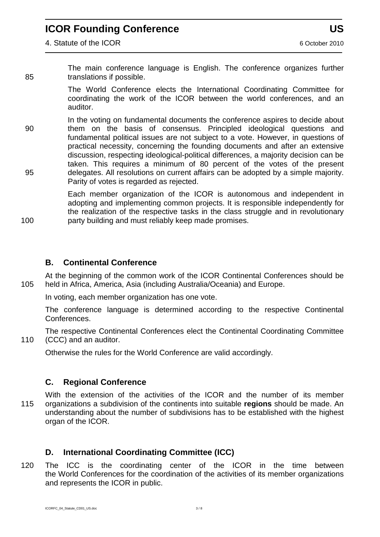The main conference language is English. The conference organizes further 85 translations if possible.

> The World Conference elects the International Coordinating Committee for coordinating the work of the ICOR between the world conferences, and an auditor.

In the voting on fundamental documents the conference aspires to decide about 90 them on the basis of consensus. Principled ideological questions and fundamental political issues are not subject to a vote. However, in questions of practical necessity, concerning the founding documents and after an extensive discussion, respecting ideological-political differences, a majority decision can be taken. This requires a minimum of 80 percent of the votes of the present 95 delegates. All resolutions on current affairs can be adopted by a simple majority. Parity of votes is regarded as rejected.

Each member organization of the ICOR is autonomous and independent in adopting and implementing common projects. It is responsible independently for the realization of the respective tasks in the class struggle and in revolutionary 100 party building and must reliably keep made promises.

#### **B. Continental Conference**

At the beginning of the common work of the ICOR Continental Conferences should be 105 held in Africa, America, Asia (including Australia/Oceania) and Europe.

In voting, each member organization has one vote.

The conference language is determined according to the respective Continental Conferences.

The respective Continental Conferences elect the Continental Coordinating Committee 110 (CCC) and an auditor.

Otherwise the rules for the World Conference are valid accordingly.

#### **C. Regional Conference**

With the extension of the activities of the ICOR and the number of its member 115 organizations a subdivision of the continents into suitable **regions** should be made. An understanding about the number of subdivisions has to be established with the highest organ of the ICOR.

#### **D. International Coordinating Committee (ICC)**

120 The ICC is the coordinating center of the ICOR in the time between the World Conferences for the coordination of the activities of its member organizations and represents the ICOR in public.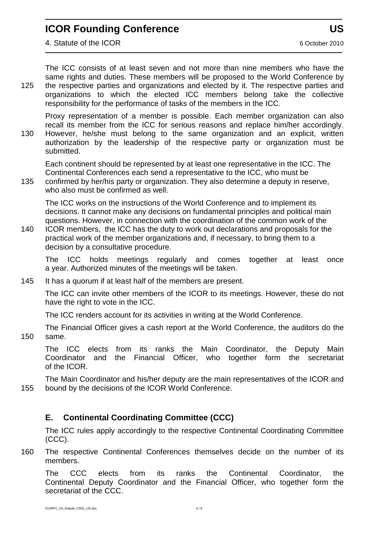The ICC consists of at least seven and not more than nine members who have the same rights and duties. These members will be proposed to the World Conference by 125 the respective parties and organizations and elected by it. The respective parties and organizations to which the elected ICC members belong take the collective responsibility for the performance of tasks of the members in the ICC.

Proxy representation of a member is possible. Each member organization can also recall its member from the ICC for serious reasons and replace him/her accordingly. 130 However, he/she must belong to the same organization and an explicit, written authorization by the leadership of the respective party or organization must be submitted.

Each continent should be represented by at least one representative in the ICC. The Continental Conferences each send a representative to the ICC, who must be

135 confirmed by her/his party or organization. They also determine a deputy in reserve, who also must be confirmed as well.

The ICC works on the instructions of the World Conference and to implement its decisions. It cannot make any decisions on fundamental principles and political main questions. However, in connection with the coordination of the common work of the

140 ICOR members, the ICC has the duty to work out declarations and proposals for the practical work of the member organizations and, if necessary, to bring them to a decision by a consultative procedure.

The ICC holds meetings regularly and comes together at least once a year. Authorized minutes of the meetings will be taken.

145 It has a quorum if at least half of the members are present.

The ICC can invite other members of the ICOR to its meetings. However, these do not have the right to vote in the ICC.

The ICC renders account for its activities in writing at the World Conference.

The Financial Officer gives a cash report at the World Conference, the auditors do the 150 same.

The ICC elects from its ranks the Main Coordinator, the Deputy Main Coordinator and the Financial Officer, who together form the secretariat of the ICOR.

The Main Coordinator and his/her deputy are the main representatives of the ICOR and 155 bound by the decisions of the ICOR World Conference.

#### **E. Continental Coordinating Committee (CCC)**

The ICC rules apply accordingly to the respective Continental Coordinating Committee (CCC).

160 The respective Continental Conferences themselves decide on the number of its members.

The CCC elects from its ranks the Continental Coordinator, the Continental Deputy Coordinator and the Financial Officer, who together form the secretariat of the CCC.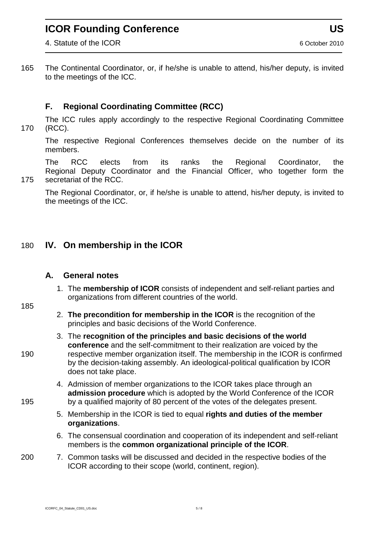4. Statute of the ICOR 6 October 2010

165 The Continental Coordinator, or, if he/she is unable to attend, his/her deputy, is invited to the meetings of the ICC.

#### **F. Regional Coordinating Committee (RCC)**

The ICC rules apply accordingly to the respective Regional Coordinating Committee 170 (RCC).

The respective Regional Conferences themselves decide on the number of its members.

The RCC elects from its ranks the Regional Coordinator, the Regional Deputy Coordinator and the Financial Officer, who together form the 175 secretariat of the RCC.

The Regional Coordinator, or, if he/she is unable to attend, his/her deputy, is invited to the meetings of the ICC.

#### 180 **IV. On membership in the ICOR**

#### **A. General notes**

1. The **membership of ICOR** consists of independent and self-reliant parties and organizations from different countries of the world.

#### 185

- 2. **The precondition for membership in the ICOR** is the recognition of the principles and basic decisions of the World Conference.
- 3. The **recognition of the principles and basic decisions of the world conference** and the self-commitment to their realization are voiced by the 190 respective member organization itself. The membership in the ICOR is confirmed by the decision-taking assembly. An ideological-political qualification by ICOR does not take place.
- 4. Admission of member organizations to the ICOR takes place through an **admission procedure** which is adopted by the World Conference of the ICOR 195 by a qualified majority of 80 percent of the votes of the delegates present.
	- 5. Membership in the ICOR is tied to equal **rights and duties of the member organizations**.
	- 6. The consensual coordination and cooperation of its independent and self-reliant members is the **common organizational principle of the ICOR**.
- 200 7. Common tasks will be discussed and decided in the respective bodies of the ICOR according to their scope (world, continent, region).

ICORFC\_04\_Statute\_CD01\_US.doc 5 / 8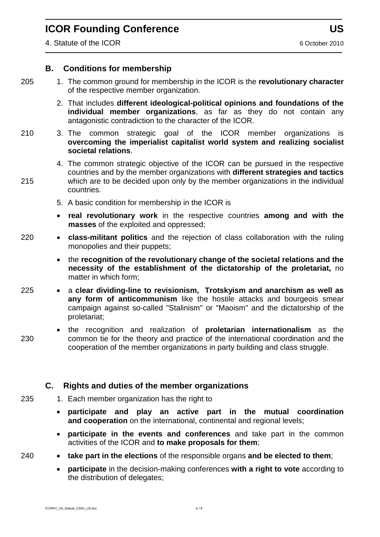#### **B. Conditions for membership**

- 205 1. The common ground for membership in the ICOR is the **revolutionary character** of the respective member organization.
	- 2. That includes **different ideological-political opinions and foundations of the individual member organizations**, as far as they do not contain any antagonistic contradiction to the character of the ICOR.
- 210 3. The common strategic goal of the ICOR member organizations is **overcoming the imperialist capitalist world system and realizing socialist societal relations**.
- 4. The common strategic objective of the ICOR can be pursued in the respective countries and by the member organizations with **different strategies and tactics** 215 which are to be decided upon only by the member organizations in the individual countries.
	- 5. A basic condition for membership in the ICOR is
	- **real revolutionary work** in the respective countries **among and with the masses** of the exploited and oppressed;
- 220 **class-militant politics** and the rejection of class collaboration with the ruling monopolies and their puppets;
	- the **recognition of the revolutionary change of the societal relations and the necessity of the establishment of the dictatorship of the proletariat,** no matter in which form;
- 225 a **clear dividing-line to revisionism, Trotskyism and anarchism as well as any form of anticommunism** like the hostile attacks and bourgeois smear campaign against so-called "Stalinism" or "Maoism" and the dictatorship of the proletariat;
- the recognition and realization of **proletarian internationalism** as the 230 common tie for the theory and practice of the international coordination and the cooperation of the member organizations in party building and class struggle.

#### **C. Rights and duties of the member organizations**

- 235 1. Each member organization has the right to
	- **participate and play an active part in the mutual coordination and cooperation** on the international, continental and regional levels;
	- **participate in the events and conferences** and take part in the common activities of the ICOR and **to make proposals for them**;
- 240 **take part in the elections** of the responsible organs **and be elected to them**;
	- **participate** in the decision-making conferences **with a right to vote** according to the distribution of delegates;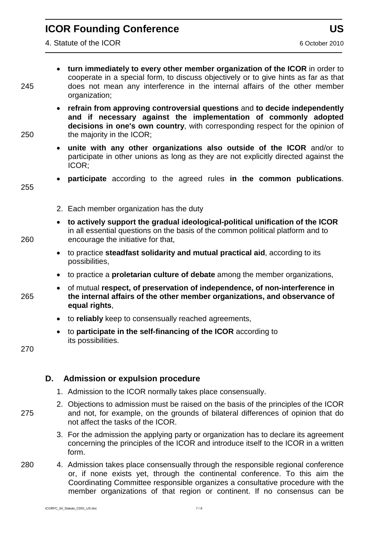- **turn immediately to every other member organization of the ICOR** in order to cooperate in a special form, to discuss objectively or to give hints as far as that 245 does not mean any interference in the internal affairs of the other member organization;
- **refrain from approving controversial questions** and **to decide independently and if necessary against the implementation of commonly adopted decisions in one's own country**, with corresponding respect for the opinion of 250 the majority in the ICOR;
	- **unite with any other organizations also outside of the ICOR** and/or to participate in other unions as long as they are not explicitly directed against the ICOR;
	- **participate** according to the agreed rules **in the common publications**.
	- 2. Each member organization has the duty
- **to actively support the gradual ideological-political unification of the ICOR**  in all essential questions on the basis of the common political platform and to 260 encourage the initiative for that,
	- to practice **steadfast solidarity and mutual practical aid**, according to its possibilities,
	- to practice a **proletarian culture of debate** among the member organizations,
- of mutual **respect, of preservation of independence, of non-interference in** 265 **the internal affairs of the other member organizations, and observance of equal rights**,
	- to **reliably** keep to consensually reached agreements,
	- to **participate in the self-financing of the ICOR** according to its possibilities.

270

#### **D. Admission or expulsion procedure**

- 1. Admission to the ICOR normally takes place consensually.
- 2. Objections to admission must be raised on the basis of the principles of the ICOR 275 and not, for example, on the grounds of bilateral differences of opinion that do not affect the tasks of the ICOR.
	- 3. For the admission the applying party or organization has to declare its agreement concerning the principles of the ICOR and introduce itself to the ICOR in a written form.
- 280 4. Admission takes place consensually through the responsible regional conference or, if none exists yet, through the continental conference. To this aim the Coordinating Committee responsible organizes a consultative procedure with the member organizations of that region or continent. If no consensus can be

255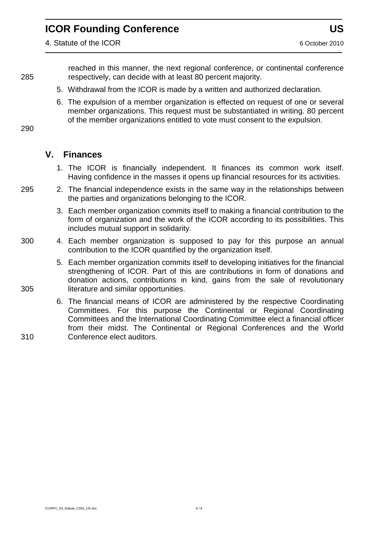4. Statute of the ICOR 6 October 2010

reached in this manner, the next regional conference, or continental conference 285 respectively, can decide with at least 80 percent majority.

- 5. Withdrawal from the ICOR is made by a written and authorized declaration.
- 6. The expulsion of a member organization is effected on request of one or several member organizations. This request must be substantiated in writing. 80 percent of the member organizations entitled to vote must consent to the expulsion.

290

#### **V. Finances**

- 1. The ICOR is financially independent. It finances its common work itself. Having confidence in the masses it opens up financial resources for its activities.
- 295 2. The financial independence exists in the same way in the relationships between the parties and organizations belonging to the ICOR.
	- 3. Each member organization commits itself to making a financial contribution to the form of organization and the work of the ICOR according to its possibilities. This includes mutual support in solidarity.
- 300 4. Each member organization is supposed to pay for this purpose an annual contribution to the ICOR quantified by the organization itself.
- 5. Each member organization commits itself to developing initiatives for the financial strengthening of ICOR. Part of this are contributions in form of donations and donation actions, contributions in kind, gains from the sale of revolutionary 305 literature and similar opportunities.
- 6. The financial means of ICOR are administered by the respective Coordinating Committees. For this purpose the Continental or Regional Coordinating Committees and the International Coordinating Committee elect a financial officer from their midst. The Continental or Regional Conferences and the World 310 Conference elect auditors.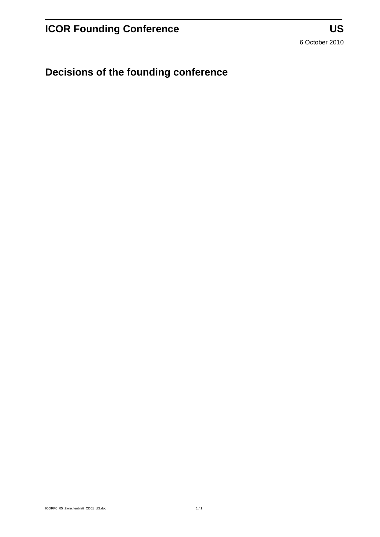**Decisions of the founding conference**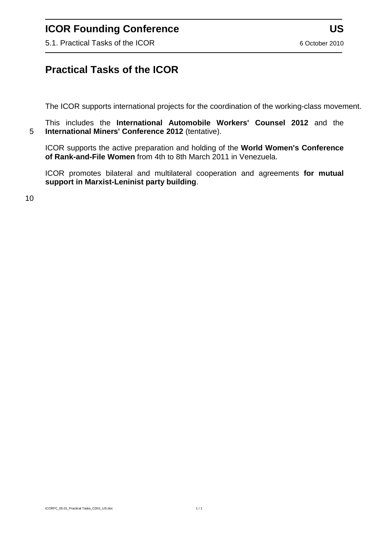5.1. Practical Tasks of the ICOR 6 October 2010

#### **Practical Tasks of the ICOR**

The ICOR supports international projects for the coordination of the working-class movement.

This includes the **International Automobile Workers' Counsel 2012** and the 5 **International Miners' Conference 2012** (tentative).

ICOR supports the active preparation and holding of the **World Women's Conference of Rank-and-File Women** from 4th to 8th March 2011 in Venezuela.

ICOR promotes bilateral and multilateral cooperation and agreements **for mutual support in Marxist-Leninist party building**.

10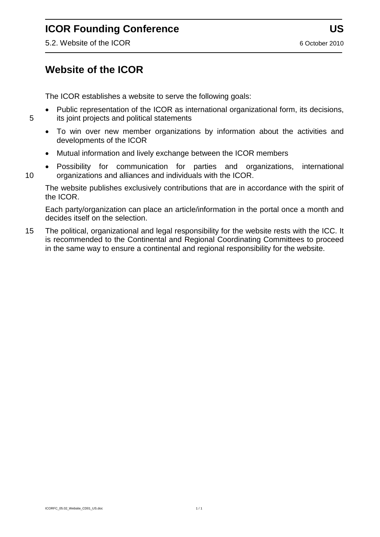5.2. Website of the ICOR 6 October 2010

### **Website of the ICOR**

The ICOR establishes a website to serve the following goals:

- Public representation of the ICOR as international organizational form, its decisions, 5 its joint projects and political statements
	- To win over new member organizations by information about the activities and developments of the ICOR
	- Mutual information and lively exchange between the ICOR members
- Possibility for communication for parties and organizations, international 10 organizations and alliances and individuals with the ICOR.

The website publishes exclusively contributions that are in accordance with the spirit of the ICOR.

Each party/organization can place an article/information in the portal once a month and decides itself on the selection.

15 The political, organizational and legal responsibility for the website rests with the ICC. It is recommended to the Continental and Regional Coordinating Committees to proceed in the same way to ensure a continental and regional responsibility for the website.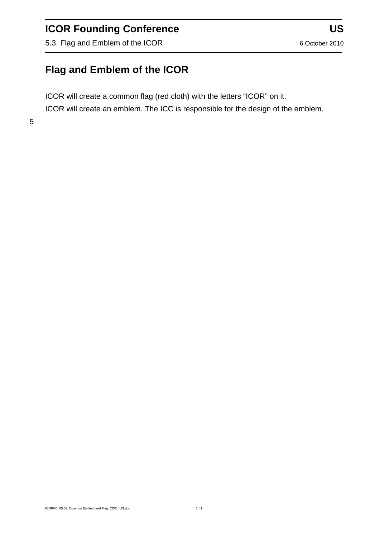5.3. Flag and Emblem of the ICOR 6 October 2010

# **Flag and Emblem of the ICOR**

ICOR will create a common flag (red cloth) with the letters "ICOR" on it.

ICOR will create an emblem. The ICC is responsible for the design of the emblem.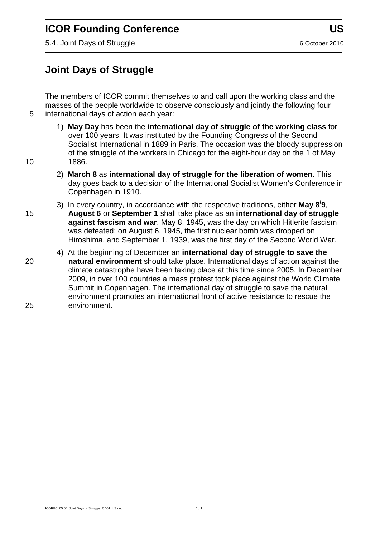5.4. Joint Days of Struggle 6 October 2010

# **Joint Days of Struggle**

The members of ICOR commit themselves to and call upon the working class and the masses of the people worldwide to observe consciously and jointly the following four 5 international days of action each year:

- 1) **May Day** has been the **international day of struggle of the working class** for over 100 years. It was instituted by the Founding Congress of the Second Socialist International in 1889 in Paris. The occasion was the bloody suppression of the struggle of the workers in Chicago for the eight-hour day on the 1 of May 10 1886.
- 
- 2) **March 8** as **international day of struggle for the liberation of women**. This day goes back to a decision of the International Socialist Women's Conference in Copenhagen in 1910.
- 3) In every country, in accordance with the respective traditions, either **May 8/ 9**, 15 **August 6** or **September 1** shall take place as an **international day of struggle against fascism and war**. May 8, 1945, was the day on which Hitlerite fascism was defeated; on August 6, 1945, the first nuclear bomb was dropped on Hiroshima, and September 1, 1939, was the first day of the Second World War.
- 4) At the beginning of December an **international day of struggle to save the**  20 **natural environment** should take place. International days of action against the climate catastrophe have been taking place at this time since 2005. In December 2009, in over 100 countries a mass protest took place against the World Climate Summit in Copenhagen. The international day of struggle to save the natural environment promotes an international front of active resistance to rescue the 25 environment.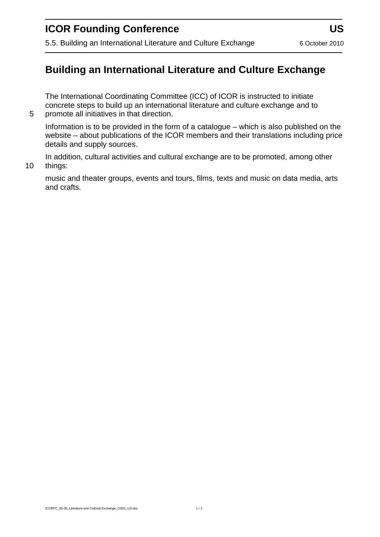# **Building an International Literature and Culture Exchange**

The International Coordinating Committee (ICC) of ICOR is instructed to initiate concrete steps to build up an international literature and culture exchange and to 5 promote all initiatives in that direction.

Information is to be provided in the form of a catalogue – which is also published on the website – about publications of the ICOR members and their translations including price details and supply sources.

In addition, cultural activities and cultural exchange are to be promoted, among other 10 things:

music and theater groups, events and tours, films, texts and music on data media, arts and crafts.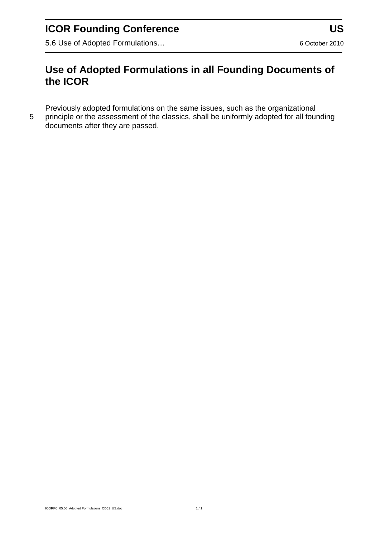5.6 Use of Adopted Formulations... 6 October 2010

## **Use of Adopted Formulations in all Founding Documents of the ICOR**

Previously adopted formulations on the same issues, such as the organizational

5 principle or the assessment of the classics, shall be uniformly adopted for all founding documents after they are passed.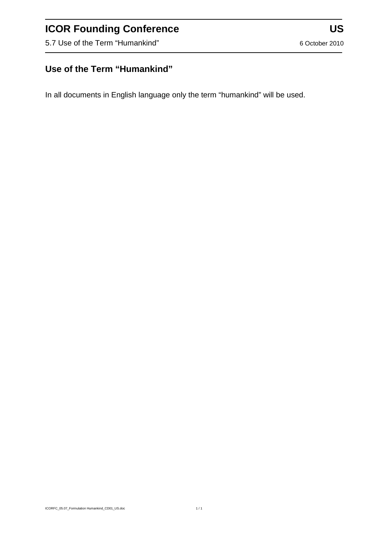5.7 Use of the Term "Humankind" 6 October 2010

### **Use of the Term "Humankind"**

In all documents in English language only the term "humankind" will be used.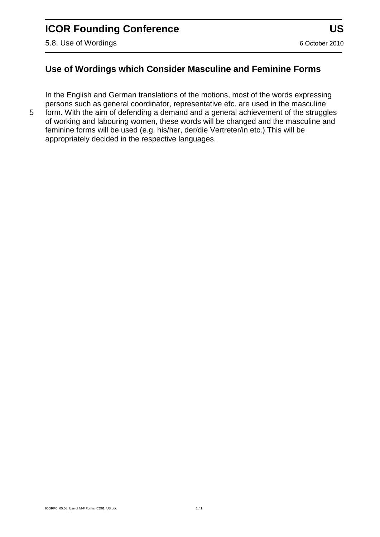#### **Use of Wordings which Consider Masculine and Feminine Forms**

In the English and German translations of the motions, most of the words expressing persons such as general coordinator, representative etc. are used in the masculine

5 form. With the aim of defending a demand and a general achievement of the struggles of working and labouring women, these words will be changed and the masculine and feminine forms will be used (e.g. his/her, der/die Vertreter/in etc.) This will be appropriately decided in the respective languages.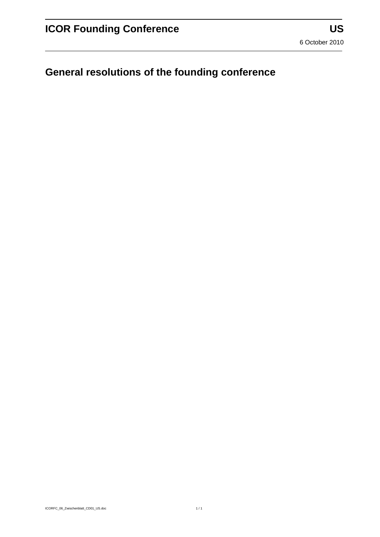# **General resolutions of the founding conference**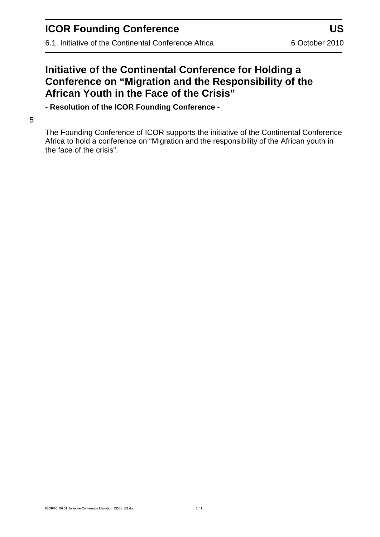6.1. Initiative of the Continental Conference Africa 6 October 2010

### **Initiative of the Continental Conference for Holding a Conference on "Migration and the Responsibility of the African Youth in the Face of the Crisis"**

**- Resolution of the ICOR Founding Conference -**

#### 5

The Founding Conference of ICOR supports the initiative of the Continental Conference Africa to hold a conference on "Migration and the responsibility of the African youth in the face of the crisis".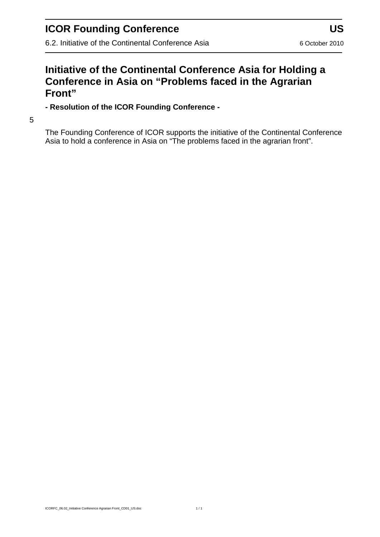6.2. Initiative of the Continental Conference Asia 6 October 2010

#### **Initiative of the Continental Conference Asia for Holding a Conference in Asia on "Problems faced in the Agrarian Front"**

**- Resolution of the ICOR Founding Conference -**

5

The Founding Conference of ICOR supports the initiative of the Continental Conference Asia to hold a conference in Asia on "The problems faced in the agrarian front".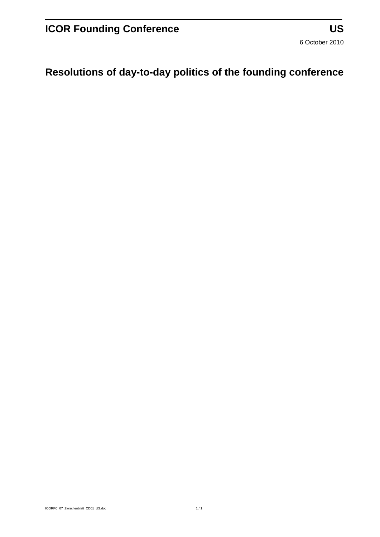# **Resolutions of day-to-day politics of the founding conference**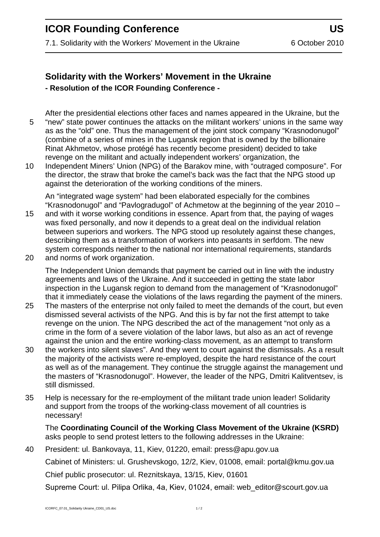7.1. Solidarity with the Workers' Movement in the Ukraine 6 October 2010

#### **Solidarity with the Workers' Movement in the Ukraine - Resolution of the ICOR Founding Conference -**

After the presidential elections other faces and names appeared in the Ukraine, but the 5 "new" state power continues the attacks on the militant workers' unions in the same way as as the "old" one. Thus the management of the joint stock company "Krasnodonugol" (combine of a series of mines in the Lugansk region that is owned by the billionaire Rinat Akhmetov, whose protégé has recently become president) decided to take revenge on the militant and actually independent workers' organization, the

10 Independent Miners' Union (NPG) of the Barakov mine, with "outraged composure". For the director, the straw that broke the camel's back was the fact that the NPG stood up against the deterioration of the working conditions of the miners.

An "integrated wage system" had been elaborated especially for the combines "Krasnodonugol" and "Pavlogradugol" of Achmetow at the beginning of the year 2010 –

- 15 and with it worse working conditions in essence. Apart from that, the paying of wages was fixed personally, and now it depends to a great deal on the individual relation between superiors and workers. The NPG stood up resolutely against these changes, describing them as a transformation of workers into peasants in serfdom. The new system corresponds neither to the national nor international requirements, standards
- 20 and norms of work organization.

The Independent Union demands that payment be carried out in line with the industry agreements and laws of the Ukraine. And it succeeded in getting the state labor inspection in the Lugansk region to demand from the management of "Krasnodonugol" that it immediately cease the violations of the laws regarding the payment of the miners.

- 25 The masters of the enterprise not only failed to meet the demands of the court, but even dismissed several activists of the NPG. And this is by far not the first attempt to take revenge on the union. The NPG described the act of the management "not only as a crime in the form of a severe violation of the labor laws, but also as an act of revenge against the union and the entire working-class movement, as an attempt to transform
- 30 the workers into silent slaves". And they went to court against the dismissals. As a result the majority of the activists were re-employed, despite the hard resistance of the court as well as of the management. They continue the struggle against the management und the masters of "Krasnodonugol". However, the leader of the NPG, Dmitri Kalitventsev, is still dismissed.
- 35 Help is necessary for the re-employment of the militant trade union leader! Solidarity and support from the troops of the working-class movement of all countries is necessary!

The **Coordinating Council of the Working Class Movement of the Ukraine (KSRD)**  asks people to send protest letters to the following addresses in the Ukraine:

40 President: ul. Bankovaya, 11, Kiev, 01220, email: [press@apu.gov.ua](mailto:press@apu.gov.ua) Cabinet of Ministers: ul. Grushevskogo, 12/2, Kiev, 01008, email: [portal@kmu.gov.ua](mailto:portal@kmu.gov.ua) Chief public prosecutor: ul. Reznitskaya, 13/15, Kiev, 01601 Supreme Court: ul. Pilipa Orlika, 4a, Kiev, 01024, email: web editor@scourt.gov.ua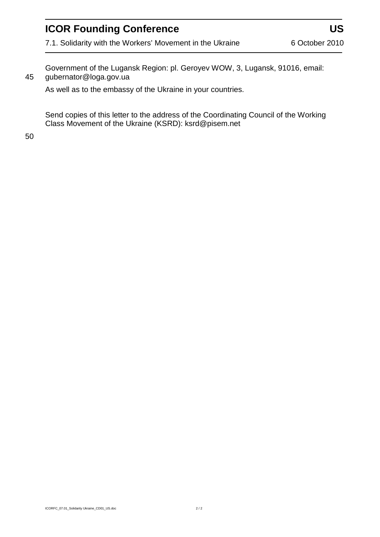Government of the Lugansk Region: pl. Geroyev WOW, 3, Lugansk, 91016, email: 45 [gubernator@loga.gov.ua](mailto:gubernator@loga.gov.ua)

As well as to the embassy of the Ukraine in your countries.

Send copies of this letter to the address of the Coordinating Council of the Working Class Movement of the Ukraine (KSRD): [ksrd@pisem.net](mailto:ksrd@pisem.net)

50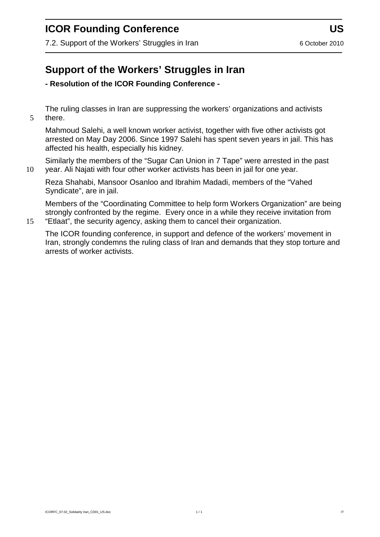7.2. Support of the Workers' Struggles in Iran 60 October 2010

# **Support of the Workers' Struggles in Iran**

#### **- Resolution of the ICOR Founding Conference -**

The ruling classes in Iran are suppressing the workers' organizations and activists 5 there.

Mahmoud Salehi, a well known worker activist, together with five other activists got arrested on May Day 2006. Since 1997 Salehi has spent seven years in jail. This has affected his health, especially his kidney.

Similarly the members of the "Sugar Can Union in 7 Tape" were arrested in the past 10 year. Ali Najati with four other worker activists has been in jail for one year.

Reza Shahabi, Mansoor Osanloo and Ibrahim Madadi, members of the "Vahed Syndicate", are in jail.

Members of the "Coordinating Committee to help form Workers Organization" are being strongly confronted by the regime. Every once in a while they receive invitation from 15 "Etlaat", the security agency, asking them to cancel their organization.

The ICOR founding conference, in support and defence of the workers' movement in Iran, strongly condemns the ruling class of Iran and demands that they stop torture and arrests of worker activists.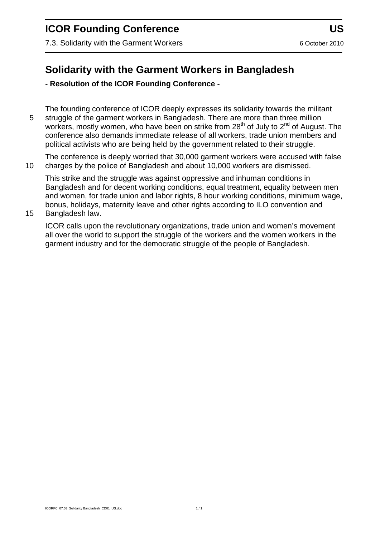7.3. Solidarity with the Garment Workers **6 October 2010** 6 October 2010

## **Solidarity with the Garment Workers in Bangladesh**

#### **- Resolution of the ICOR Founding Conference -**

The founding conference of ICOR deeply expresses its solidarity towards the militant 5 struggle of the garment workers in Bangladesh. There are more than three million workers, mostly women, who have been on strike from 28<sup>th</sup> of July to 2<sup>nd</sup> of August. The conference also demands immediate release of all workers, trade union members and political activists who are being held by the government related to their struggle.

The conference is deeply worried that 30,000 garment workers were accused with false 10 charges by the police of Bangladesh and about 10,000 workers are dismissed.

This strike and the struggle was against oppressive and inhuman conditions in Bangladesh and for decent working conditions, equal treatment, equality between men and women, for trade union and labor rights, 8 hour working conditions, minimum wage, bonus, holidays, maternity leave and other rights according to ILO convention and

15 Bangladesh law.

ICOR calls upon the revolutionary organizations, trade union and women's movement all over the world to support the struggle of the workers and the women workers in the garment industry and for the democratic struggle of the people of Bangladesh.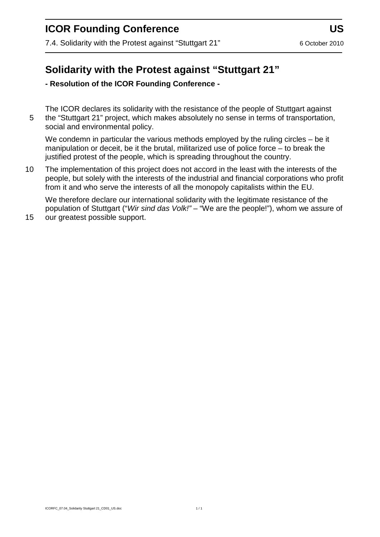7.4. Solidarity with the Protest against "Stuttgart 21" 6 October 2010

### **Solidarity with the Protest against "Stuttgart 21"**

**- Resolution of the ICOR Founding Conference -**

The ICOR declares its solidarity with the resistance of the people of Stuttgart against 5 the "Stuttgart 21" project, which makes absolutely no sense in terms of transportation, social and environmental policy.

We condemn in particular the various methods employed by the ruling circles – be it manipulation or deceit, be it the brutal, militarized use of police force – to break the justified protest of the people, which is spreading throughout the country.

10 The implementation of this project does not accord in the least with the interests of the people, but solely with the interests of the industrial and financial corporations who profit from it and who serve the interests of all the monopoly capitalists within the EU.

We therefore declare our international solidarity with the legitimate resistance of the population of Stuttgart ("*Wir sind das Volk!"* – "We are the people!"), whom we assure of 15 our greatest possible support.

ICORFC\_07.04\_Solidarity Stuttgart 21\_CD01\_US.doc 1 / 1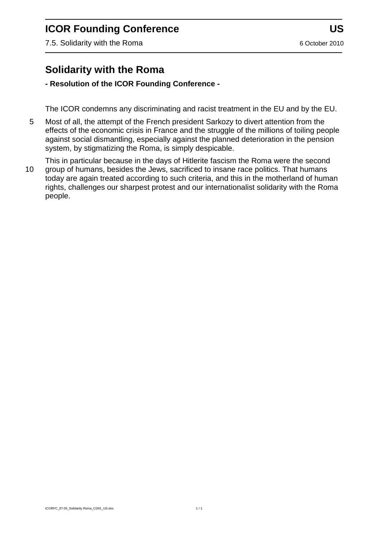7.5. Solidarity with the Roma 6 October 2010

### **Solidarity with the Roma**

#### **- Resolution of the ICOR Founding Conference -**

The ICOR condemns any discriminating and racist treatment in the EU and by the EU.

5 Most of all, the attempt of the French president Sarkozy to divert attention from the effects of the economic crisis in France and the struggle of the millions of toiling people against social dismantling, especially against the planned deterioration in the pension system, by stigmatizing the Roma, is simply despicable.

This in particular because in the days of Hitlerite fascism the Roma were the second 10 group of humans, besides the Jews, sacrificed to insane race politics. That humans today are again treated according to such criteria, and this in the motherland of human rights, challenges our sharpest protest and our internationalist solidarity with the Roma people.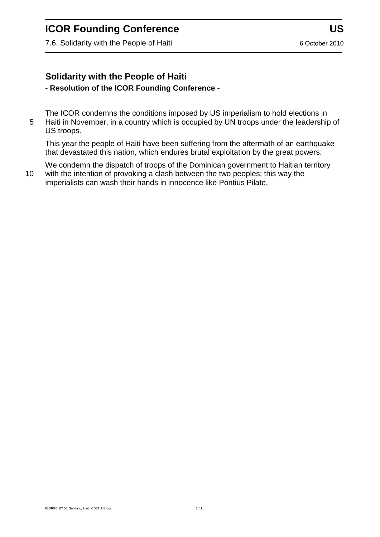7.6. Solidarity with the People of Haiti 6 October 2010

#### **Solidarity with the People of Haiti - Resolution of the ICOR Founding Conference -**

The ICOR condemns the conditions imposed by US imperialism to hold elections in 5 Haiti in November, in a country which is occupied by UN troops under the leadership of US troops.

This year the people of Haiti have been suffering from the aftermath of an earthquake that devastated this nation, which endures brutal exploitation by the great powers.

We condemn the dispatch of troops of the Dominican government to Haitian territory 10 with the intention of provoking a clash between the two peoples; this way the imperialists can wash their hands in innocence like Pontius Pilate.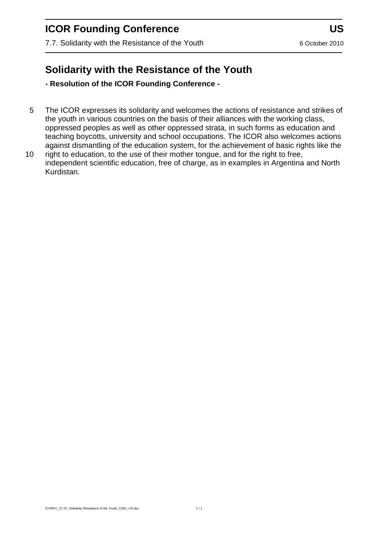7.7. Solidarity with the Resistance of the Youth 6 October 2010

# **Solidarity with the Resistance of the Youth**

**- Resolution of the ICOR Founding Conference -**

- 5 The ICOR expresses its solidarity and welcomes the actions of resistance and strikes of the youth in various countries on the basis of their alliances with the working class, oppressed peoples as well as other oppressed strata, in such forms as education and teaching boycotts, university and school occupations. The ICOR also welcomes actions against dismantling of the education system, for the achievement of basic rights like the
- 10 right to education, to the use of their mother tongue, and for the right to free, independent scientific education, free of charge, as in examples in Argentina and North Kurdistan.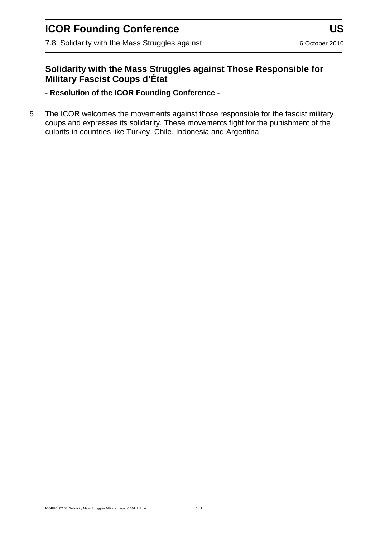7.8. Solidarity with the Mass Struggles against **6 Communist Research 10** 6 October 2010

#### **Solidarity with the Mass Struggles against Those Responsible for Military Fascist Coups d'État**

**- Resolution of the ICOR Founding Conference -**

5 The ICOR welcomes the movements against those responsible for the fascist military coups and expresses its solidarity. These movements fight for the punishment of the culprits in countries like Turkey, Chile, Indonesia and Argentina.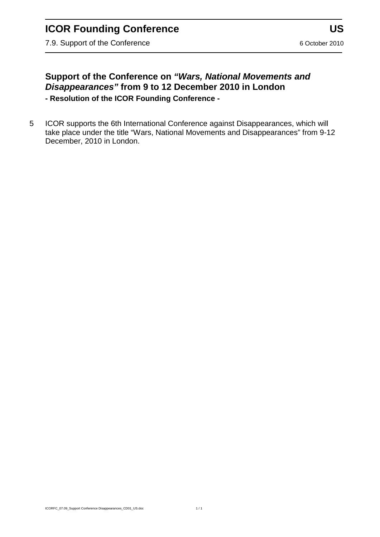7.9. Support of the Conference 6 October 2010

#### **Support of the Conference on** *"Wars, National Movements and Disappearances"* **from 9 to 12 December 2010 in London - Resolution of the ICOR Founding Conference -**

5 ICOR supports the 6th International Conference against Disappearances, which will take place under the title "Wars, National Movements and Disappearances" from 9-12 December, 2010 in London.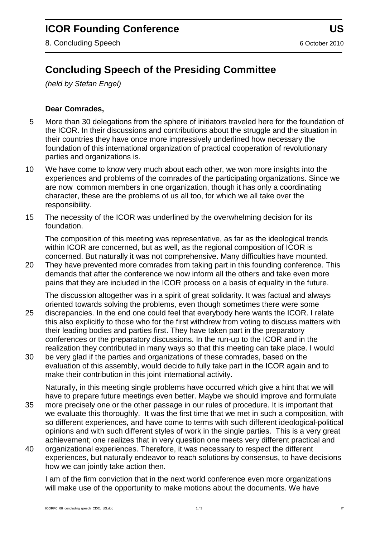# **Concluding Speech of the Presiding Committee**

*(held by Stefan Engel)*

#### **Dear Comrades,**

- 5 More than 30 delegations from the sphere of initiators traveled here for the foundation of the ICOR. In their discussions and contributions about the struggle and the situation in their countries they have once more impressively underlined how necessary the foundation of this international organization of practical cooperation of revolutionary parties and organizations is.
- 10 We have come to know very much about each other, we won more insights into the experiences and problems of the comrades of the participating organizations. Since we are now common members in one organization, though it has only a coordinating character, these are the problems of us all too, for which we all take over the responsibility.
- 15 The necessity of the ICOR was underlined by the overwhelming decision for its foundation.

The composition of this meeting was representative, as far as the ideological trends within ICOR are concerned, but as well, as the regional composition of ICOR is concerned. But naturally it was not comprehensive. Many difficulties have mounted.

20 They have prevented more comrades from taking part in this founding conference. This demands that after the conference we now inform all the others and take even more pains that they are included in the ICOR process on a basis of equality in the future.

The discussion altogether was in a spirit of great solidarity. It was factual and always oriented towards solving the problems, even though sometimes there were some

- 25 discrepancies. In the end one could feel that everybody here wants the ICOR. I relate this also explicitly to those who for the first withdrew from voting to discuss matters with their leading bodies and parties first. They have taken part in the preparatory conferences or the preparatory discussions. In the run-up to the ICOR and in the realization they contributed in many ways so that this meeting can take place. I would
- 30 be very glad if the parties and organizations of these comrades, based on the evaluation of this assembly, would decide to fully take part in the ICOR again and to make their contribution in this joint international activity.

Naturally, in this meeting single problems have occurred which give a hint that we will have to prepare future meetings even better. Maybe we should improve and formulate

- 35 more precisely one or the other passage in our rules of procedure. It is important that we evaluate this thoroughly. It was the first time that we met in such a composition, with so different experiences, and have come to terms with such different ideological-political opinions and with such different styles of work in the single parties. This is a very great achievement; one realizes that in very question one meets very different practical and
- 40 organizational experiences. Therefore, it was necessary to respect the different experiences, but naturally endeavor to reach solutions by consensus, to have decisions how we can jointly take action then.

I am of the firm conviction that in the next world conference even more organizations will make use of the opportunity to make motions about the documents. We have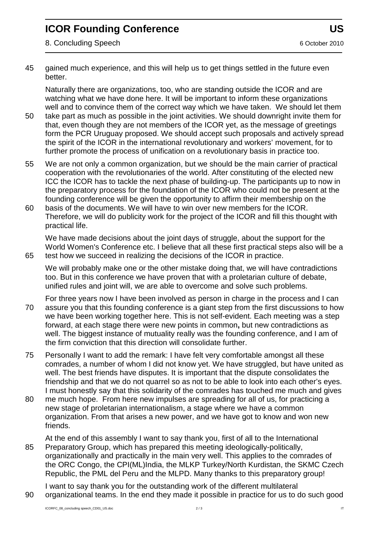8. Concluding Speech 6 October 2010

45 gained much experience, and this will help us to get things settled in the future even better.

Naturally there are organizations, too, who are standing outside the ICOR and are watching what we have done here. It will be important to inform these organizations well and to convince them of the correct way which we have taken. We should let them

- 50 take part as much as possible in the joint activities. We should downright invite them for that, even though they are not members of the ICOR yet, as the message of greetings form the PCR Uruguay proposed. We should accept such proposals and actively spread the spirit of the ICOR in the international revolutionary and workers' movement, for to further promote the process of unification on a revolutionary basis in practice too.
- 55 We are not only a common organization, but we should be the main carrier of practical cooperation with the revolutionaries of the world. After constituting of the elected new ICC the ICOR has to tackle the next phase of building-up. The participants up to now in the preparatory process for the foundation of the ICOR who could not be present at the founding conference will be given the opportunity to affirm their membership on the
- 60 basis of the documents. We will have to win over new members for the ICOR. Therefore, we will do publicity work for the project of the ICOR and fill this thought with practical life.

We have made decisions about the joint days of struggle, about the support for the World Women's Conference etc. I believe that all these first practical steps also will be a 65 test how we succeed in realizing the decisions of the ICOR in practice.

We will probably make one or the other mistake doing that, we will have contradictions too. But in this conference we have proven that with a proletarian culture of debate, unified rules and joint will, we are able to overcome and solve such problems.

- For three years now I have been involved as person in charge in the process and I can 70 assure you that this founding conference is a giant step from the first discussions to how we have been working together here. This is not self-evident. Each meeting was a step forward, at each stage there were new points in common**,** but new contradictions as well. The biggest instance of mutuality really was the founding conference, and I am of the firm conviction that this direction will consolidate further.
- 75 Personally I want to add the remark: I have felt very comfortable amongst all these comrades, a number of whom I did not know yet. We have struggled, but have united as well. The best friends have disputes. It is important that the dispute consolidates the friendship and that we do not quarrel so as not to be able to look into each other's eyes. I must honestly say that this solidarity of the comrades has touched me much and gives
- 80 me much hope. From here new impulses are spreading for all of us, for practicing a new stage of proletarian internationalism, a stage where we have a common organization. From that arises a new power, and we have got to know and won new friends.

At the end of this assembly I want to say thank you, first of all to the International 85 Preparatory Group, which has prepared this meeting ideologically-politically, organizationally and practically in the main very well. This applies to the comrades of the ORC Congo, the CPI(ML)India, the MLKP Turkey/North Kurdistan, the SKMC Czech Republic, the PML del Peru and the MLPD. Many thanks to this preparatory group!

I want to say thank you for the outstanding work of the different multilateral 90 organizational teams. In the end they made it possible in practice for us to do such good